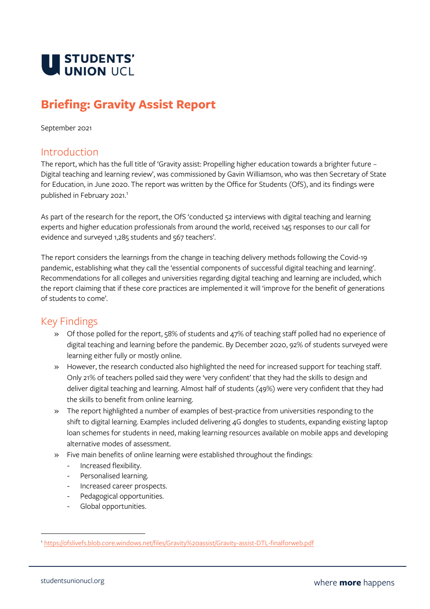

# **Briefing: Gravity Assist Report**

September 2021

## Introduction

The report, which has the full title of 'Gravity assist: Propelling higher education towards a brighter future – Digital teaching and learning review', was commissioned by Gavin Williamson, who was then Secretary of State for Education, in June 2020. The report was written by the Office for Students (OfS), and its findings were published in February 2021. 1

As part of the research for the report, the OfS 'conducted 52 interviews with digital teaching and learning experts and higher education professionals from around the world, received 145 responses to our call for evidence and surveyed 1,285 students and 567 teachers'.

The report considers the learnings from the change in teaching delivery methods following the Covid-19 pandemic, establishing what they call the 'essential components of successful digital teaching and learning'. Recommendations for all colleges and universities regarding digital teaching and learning are included, which the report claiming that if these core practices are implemented it will 'improve for the benefit of generations of students to come'.

# Key Findings

- » Of those polled for the report, 58% of students and 47% of teaching staff polled had no experience of digital teaching and learning before the pandemic. By December 2020, 92% of students surveyed were learning either fully or mostly online.
- » However, the research conducted also highlighted the need for increased support for teaching staff. Only 21% of teachers polled said they were 'very confident' that they had the skills to design and deliver digital teaching and learning. Almost half of students (49%) were very confident that they had the skills to benefit from online learning.
- » The report highlighted a number of examples of best-practice from universities responding to the shift to digital learning. Examples included delivering 4G dongles to students, expanding existing laptop loan schemes for students in need, making learning resources available on mobile apps and developing alternative modes of assessment.
- » Five main benefits of online learning were established throughout the findings:
	- Increased flexibility.
	- Personalised learning.
	- Increased career prospects.
	- Pedagogical opportunities.
	- Global opportunities.

<sup>1</sup> <https://ofslivefs.blob.core.windows.net/files/Gravity%20assist/Gravity-assist-DTL-finalforweb.pdf>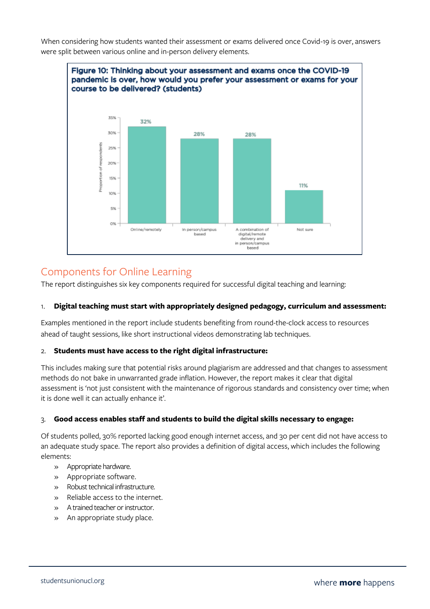When considering how students wanted their assessment or exams delivered once Covid-19 is over, answers were split between various online and in-person delivery elements.



# Components for Online Learning

The report distinguishes six key components required for successful digital teaching and learning:

#### 1. **Digital teaching must start with appropriately designed pedagogy, curriculum and assessment:**

Examples mentioned in the report include students benefiting from round-the-clock access to resources ahead of taught sessions, like short instructional videos demonstrating lab techniques.

#### 2. **Students must have access to the right digital infrastructure:**

This includes making sure that potential risks around plagiarism are addressed and that changes to assessment methods do not bake in unwarranted grade inflation. However, the report makes it clear that digital assessment is 'not just consistent with the maintenance of rigorous standards and consistency over time; when it is done well it can actually enhance it'.

#### 3. **Good access enables staff and students to build the digital skills necessary to engage:**

Of students polled, 30% reported lacking good enough internet access, and 30 per cent did not have access to an adequate study space. The report also provides a definition of digital access, which includes the following elements:

- » Appropriate hardware.
- » Appropriate software.
- » Robust technical infrastructure.
- » Reliable access to the internet.
- » A trained teacher or instructor.
- » An appropriate study place.